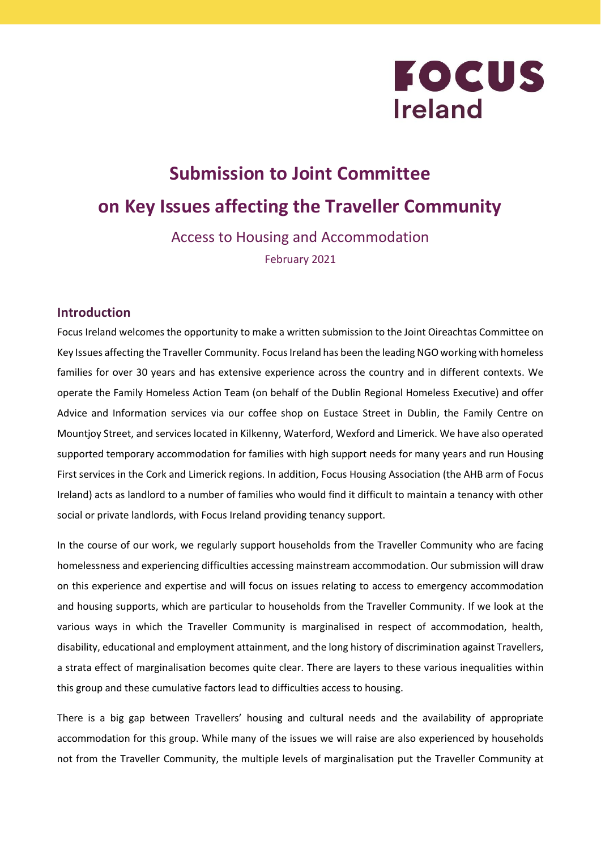

# **Submission to Joint Committee on Key Issues affecting the Traveller Community**

Access to Housing and Accommodation February 2021

#### **Introduction**

Focus Ireland welcomes the opportunity to make a written submission to the Joint Oireachtas Committee on Key Issues affecting the Traveller Community. Focus Ireland has been the leading NGO working with homeless families for over 30 years and has extensive experience across the country and in different contexts. We operate the Family Homeless Action Team (on behalf of the Dublin Regional Homeless Executive) and offer Advice and Information services via our coffee shop on Eustace Street in Dublin, the Family Centre on Mountjoy Street, and services located in Kilkenny, Waterford, Wexford and Limerick. We have also operated supported temporary accommodation for families with high support needs for many years and run Housing First services in the Cork and Limerick regions. In addition, Focus Housing Association (the AHB arm of Focus Ireland) acts as landlord to a number of families who would find it difficult to maintain a tenancy with other social or private landlords, with Focus Ireland providing tenancy support.

In the course of our work, we regularly support households from the Traveller Community who are facing homelessness and experiencing difficulties accessing mainstream accommodation. Our submission will draw on this experience and expertise and will focus on issues relating to access to emergency accommodation and housing supports, which are particular to households from the Traveller Community. If we look at the various ways in which the Traveller Community is marginalised in respect of accommodation, health, disability, educational and employment attainment, and the long history of discrimination against Travellers, a strata effect of marginalisation becomes quite clear. There are layers to these various inequalities within this group and these cumulative factors lead to difficulties access to housing.

There is a big gap between Travellers' housing and cultural needs and the availability of appropriate accommodation for this group. While many of the issues we will raise are also experienced by households not from the Traveller Community, the multiple levels of marginalisation put the Traveller Community at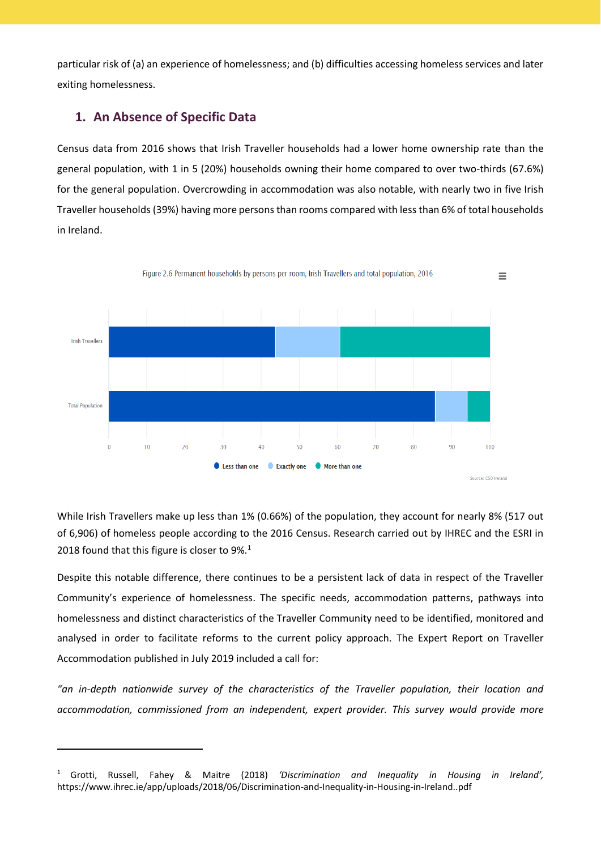particular risk of (a) an experience of homelessness; and (b) difficulties accessing homeless services and later exiting homelessness.

# **1. An Absence of Specific Data**

1

Census data from 2016 shows that Irish Traveller households had a lower home ownership rate than the general population, with 1 in 5 (20%) households owning their home compared to over two-thirds (67.6%) for the general population. Overcrowding in accommodation was also notable, with nearly two in five Irish Traveller households (39%) having more personsthan rooms compared with lessthan 6% of total households in Ireland.



While Irish Travellers make up less than 1% (0.66%) of the population, they account for nearly 8% (517 out of 6,906) of homeless people according to the 2016 Census. Research carried out by IHREC and the ESRI in 2018 found that this figure is closer to  $9\%$ .<sup>1</sup>

Despite this notable difference, there continues to be a persistent lack of data in respect of the Traveller Community's experience of homelessness. The specific needs, accommodation patterns, pathways into homelessness and distinct characteristics of the Traveller Community need to be identified, monitored and analysed in order to facilitate reforms to the current policy approach. The Expert Report on Traveller Accommodation published in July 2019 included a call for:

*"an in-depth nationwide survey of the characteristics of the Traveller population, their location and accommodation, commissioned from an independent, expert provider. This survey would provide more*

<sup>1</sup> Grotti, Russell, Fahey & Maitre (2018) *'Discrimination and Inequality in Housing in Ireland',* https://www.ihrec.ie/app/uploads/2018/06/Discrimination-and-Inequality-in-Housing-in-Ireland..pdf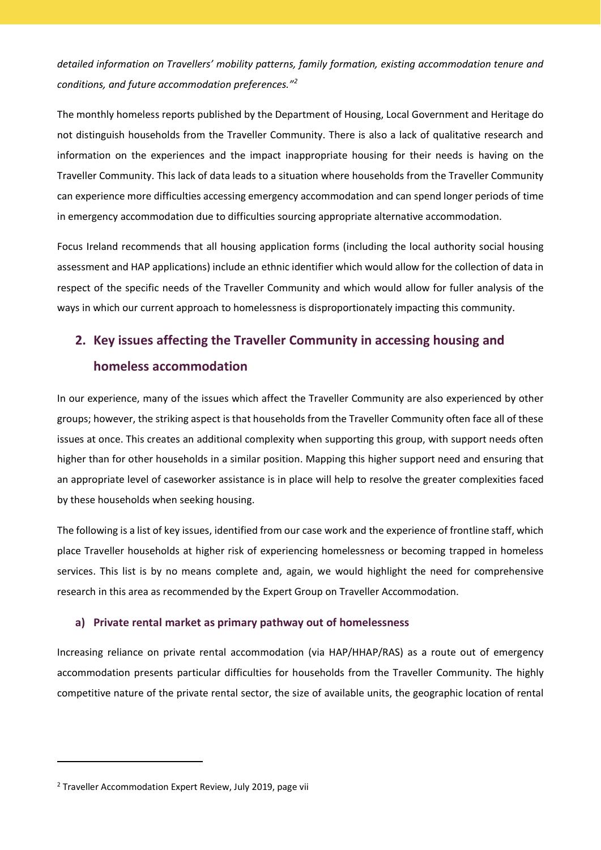*detailed information on Travellers' mobility patterns, family formation, existing accommodation tenure and conditions, and future accommodation preferences."<sup>2</sup>*

The monthly homeless reports published by the Department of Housing, Local Government and Heritage do not distinguish households from the Traveller Community. There is also a lack of qualitative research and information on the experiences and the impact inappropriate housing for their needs is having on the Traveller Community. This lack of data leads to a situation where households from the Traveller Community can experience more difficulties accessing emergency accommodation and can spend longer periods of time in emergency accommodation due to difficulties sourcing appropriate alternative accommodation.

Focus Ireland recommends that all housing application forms (including the local authority social housing assessment and HAP applications) include an ethnic identifier which would allow for the collection of data in respect of the specific needs of the Traveller Community and which would allow for fuller analysis of the ways in which our current approach to homelessness is disproportionately impacting this community.

# **2. Key issues affecting the Traveller Community in accessing housing and homeless accommodation**

In our experience, many of the issues which affect the Traveller Community are also experienced by other groups; however, the striking aspect is that households from the Traveller Community often face all of these issues at once. This creates an additional complexity when supporting this group, with support needs often higher than for other households in a similar position. Mapping this higher support need and ensuring that an appropriate level of caseworker assistance is in place will help to resolve the greater complexities faced by these households when seeking housing.

The following is a list of key issues, identified from our case work and the experience of frontline staff, which place Traveller households at higher risk of experiencing homelessness or becoming trapped in homeless services. This list is by no means complete and, again, we would highlight the need for comprehensive research in this area as recommended by the Expert Group on Traveller Accommodation.

#### **a) Private rental market as primary pathway out of homelessness**

Increasing reliance on private rental accommodation (via HAP/HHAP/RAS) as a route out of emergency accommodation presents particular difficulties for households from the Traveller Community. The highly competitive nature of the private rental sector, the size of available units, the geographic location of rental

1

 $2$  Traveller Accommodation Expert Review, July 2019, page vii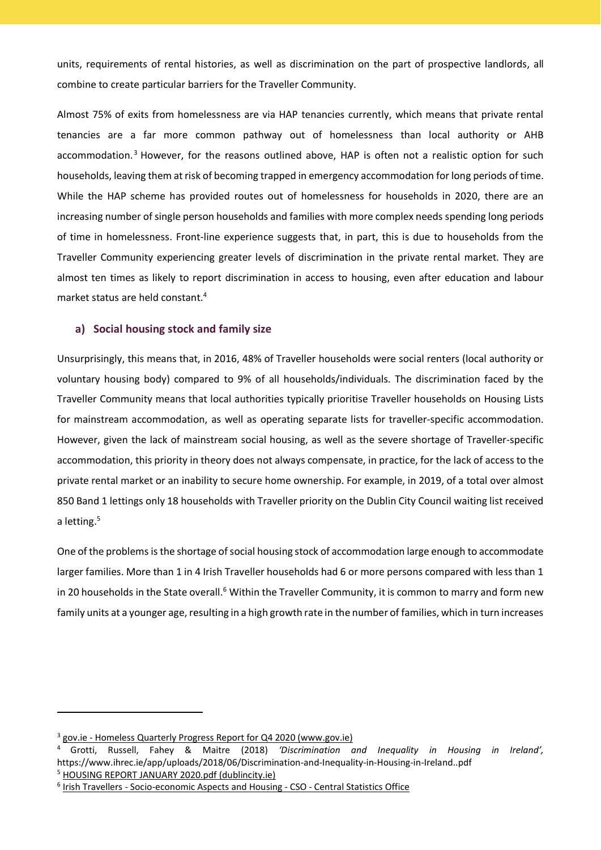units, requirements of rental histories, as well as discrimination on the part of prospective landlords, all combine to create particular barriers for the Traveller Community.

Almost 75% of exits from homelessness are via HAP tenancies currently, which means that private rental tenancies are a far more common pathway out of homelessness than local authority or AHB accommodation.<sup>3</sup> However, for the reasons outlined above, HAP is often not a realistic option for such households, leaving them at risk of becoming trapped in emergency accommodation for long periods of time. While the HAP scheme has provided routes out of homelessness for households in 2020, there are an increasing number of single person households and families with more complex needs spending long periods of time in homelessness. Front-line experience suggests that, in part, this is due to households from the Traveller Community experiencing greater levels of discrimination in the private rental market. They are almost ten times as likely to report discrimination in access to housing, even after education and labour market status are held constant.<sup>4</sup>

#### **a) Social housing stock and family size**

Unsurprisingly, this means that, in 2016, 48% of Traveller households were social renters (local authority or voluntary housing body) compared to 9% of all households/individuals. The discrimination faced by the Traveller Community means that local authorities typically prioritise Traveller households on Housing Lists for mainstream accommodation, as well as operating separate lists for traveller-specific accommodation. However, given the lack of mainstream social housing, as well as the severe shortage of Traveller-specific accommodation, this priority in theory does not always compensate, in practice, for the lack of access to the private rental market or an inability to secure home ownership. For example, in 2019, of a total over almost 850 Band 1 lettings only 18 households with Traveller priority on the Dublin City Council waiting list received a letting.<sup>5</sup>

One of the problems is the shortage of social housing stock of accommodation large enough to accommodate larger families. More than 1 in 4 Irish Traveller households had 6 or more persons compared with less than 1 in 20 households in the State overall.<sup>6</sup> Within the Traveller Community, it is common to marry and form new family units at a younger age, resulting in a high growth rate in the number of families, which in turn increases

.

<sup>&</sup>lt;sup>3</sup> gov.ie - Homeless Quarterly Progress Report for Q4 2020 [\(www.gov.ie\)](https://www.gov.ie/en/publication/3a843-homeless-quarterly-progress-report-for-q4-2020/)

<sup>4</sup> Grotti, Russell, Fahey & Maitre (2018) *'Discrimination and Inequality in Housing in Ireland',* https://www.ihrec.ie/app/uploads/2018/06/Discrimination-and-Inequality-in-Housing-in-Ireland..pdf <sup>5</sup> HOUSING REPORT JANUARY 2020.pdf [\(dublincity.ie\)](https://councilmeetings.dublincity.ie/documents/s27189/HOUSING%20REPORT%20JANUARY%202020.pdf)

<sup>&</sup>lt;sup>6</sup> Irish Travellers - [Socio-economic](https://www.cso.ie/en/releasesandpublications/ep/p-cp8iter/p8iter/p8itseah/) Aspects and Housing - CSO - Central Statistics Office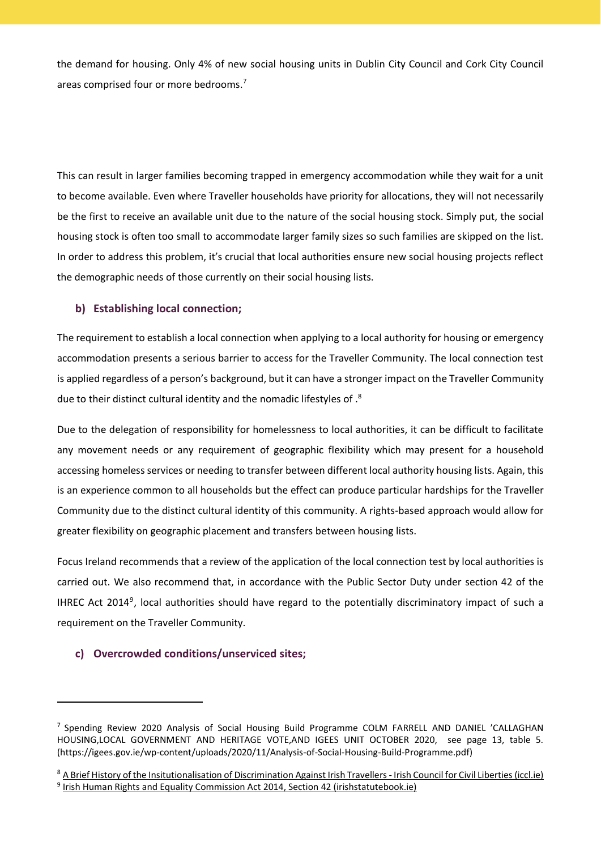the demand for housing. Only 4% of new social housing units in Dublin City Council and Cork City Council areas comprised four or more bedrooms. 7

This can result in larger families becoming trapped in emergency accommodation while they wait for a unit to become available. Even where Traveller households have priority for allocations, they will not necessarily be the first to receive an available unit due to the nature of the social housing stock. Simply put, the social housing stock is often too small to accommodate larger family sizes so such families are skipped on the list. In order to address this problem, it's crucial that local authorities ensure new social housing projects reflect the demographic needs of those currently on their social housing lists.

## **b) Establishing local connection;**

The requirement to establish a local connection when applying to a local authority for housing or emergency accommodation presents a serious barrier to access for the Traveller Community. The local connection test is applied regardless of a person's background, but it can have a stronger impact on the Traveller Community due to their distinct cultural identity and the nomadic lifestyles of .8

Due to the delegation of responsibility for homelessness to local authorities, it can be difficult to facilitate any movement needs or any requirement of geographic flexibility which may present for a household accessing homeless services or needing to transfer between different local authority housing lists. Again, this is an experience common to all households but the effect can produce particular hardships for the Traveller Community due to the distinct cultural identity of this community. A rights-based approach would allow for greater flexibility on geographic placement and transfers between housing lists.

Focus Ireland recommends that a review of the application of the local connection test by local authorities is carried out. We also recommend that, in accordance with the Public Sector Duty under section 42 of the IHREC Act 2014<sup>9</sup>, local authorities should have regard to the potentially discriminatory impact of such a requirement on the Traveller Community.

## **c) Overcrowded conditions/unserviced sites;**

1

<sup>&</sup>lt;sup>7</sup> Spending Review 2020 Analysis of Social Housing Build Programme COLM FARRELL AND DANIEL 'CALLAGHAN HOUSING,LOCAL GOVERNMENT AND HERITAGE VOTE,AND IGEES UNIT OCTOBER 2020, see page 13, table 5. (https://igees.gov.ie/wp-content/uploads/2020/11/Analysis-of-Social-Housing-Build-Programme.pdf)

<sup>8</sup> A Brief History of the [Insitutionalisation](https://www.iccl.ie/news/whrdtakeover/) of Discrimination Against Irish Travellers - Irish Council for Civil Liberties (iccl.ie) <sup>9</sup> Irish Human Rights and Equality Commission Act 2014, Section 42 [\(irishstatutebook.ie\)](http://www.irishstatutebook.ie/eli/2014/act/25/section/42/enacted/en/html)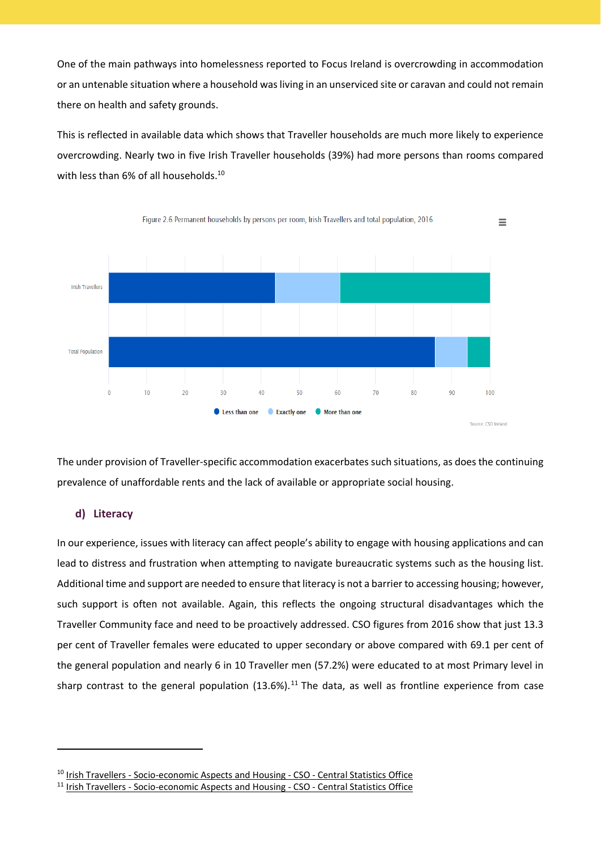One of the main pathways into homelessness reported to Focus Ireland is overcrowding in accommodation or an untenable situation where a household wasliving in an unserviced site or caravan and could not remain there on health and safety grounds.

This is reflected in available data which shows that Traveller households are much more likely to experience overcrowding. Nearly two in five Irish Traveller households (39%) had more persons than rooms compared with less than 6% of all households.<sup>10</sup>



The under provision of Traveller-specific accommodation exacerbates such situations, as doesthe continuing prevalence of unaffordable rents and the lack of available or appropriate social housing.

#### **d) Literacy**

1

In our experience, issues with literacy can affect people's ability to engage with housing applications and can lead to distress and frustration when attempting to navigate bureaucratic systems such as the housing list. Additional time and support are needed to ensure that literacy is not a barrier to accessing housing; however, such support is often not available. Again, this reflects the ongoing structural disadvantages which the Traveller Community face and need to be proactively addressed. CSO figures from 2016 show that just 13.3 per cent of Traveller females were educated to upper secondary or above compared with 69.1 per cent of the general population and nearly 6 in 10 Traveller men (57.2%) were educated to at most Primary level in sharp contrast to the general population  $(13.6%)$ .<sup>11</sup> The data, as well as frontline experience from case

<sup>&</sup>lt;sup>10</sup> Irish Travellers - [Socio-economic](https://www.cso.ie/en/releasesandpublications/ep/p-cp8iter/p8iter/p8itseah/) Aspects and Housing - CSO - Central Statistics Office

<sup>&</sup>lt;sup>11</sup> Irish Travellers - [Socio-economic](https://www.cso.ie/en/releasesandpublications/ep/p-cp8iter/p8iter/p8itseah/) Aspects and Housing - CSO - Central Statistics Office